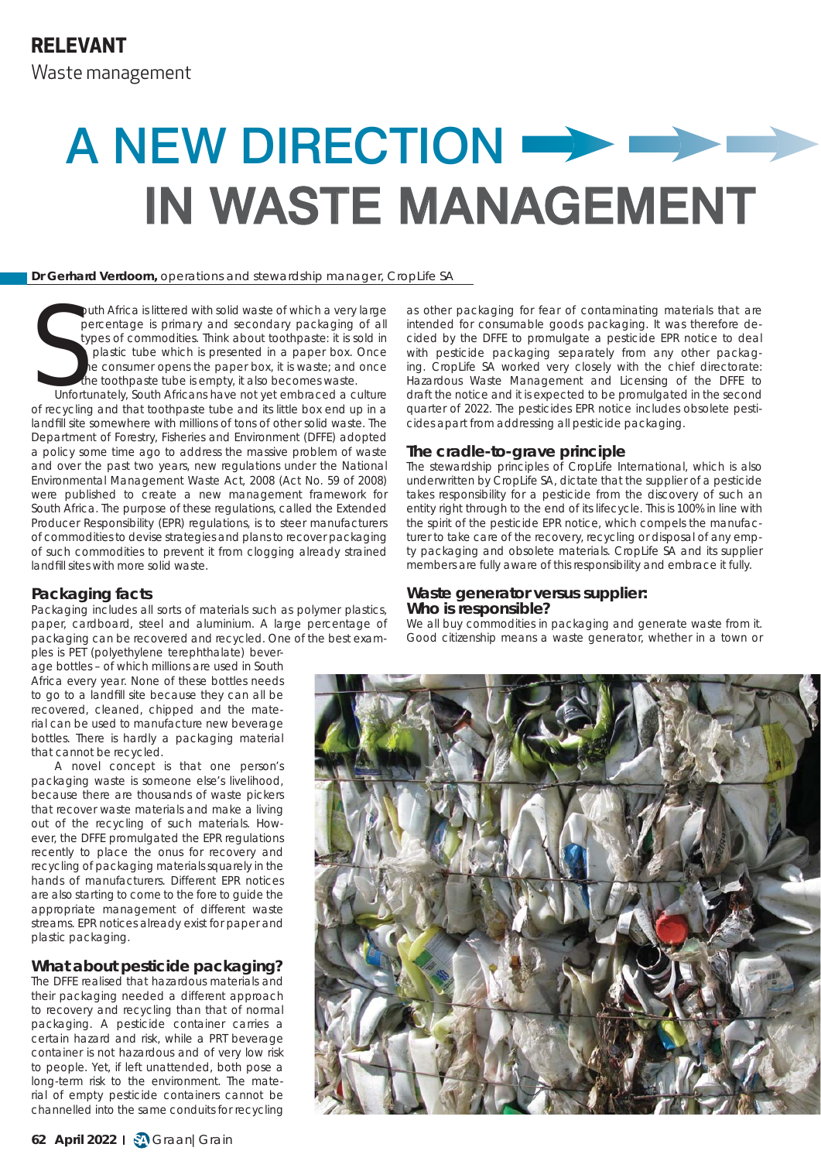# A NEW DIRECTION  $\longrightarrow$ **IN WASTE MANAGEMENT**

#### **Dr Gerhard Verdoorn,** operations and stewardship manager, CropLife SA

S<sub>unfor</sub> outh Africa is littered with solid waste of which a very large percentage is primary and secondary packaging of all types of commodities. Think about toothpaste: it is sold in a plastic tube which is presented in a paper box. Once the consumer opens the paper box, it is waste; and once the toothpaste tube is empty, it also becomes waste.

Unfortunately, South Africans have not yet embraced a culture of recycling and that toothpaste tube and its little box end up in a landfill site somewhere with millions of tons of other solid waste. The Department of Forestry, Fisheries and Environment (DFFE) adopted a policy some time ago to address the massive problem of waste and over the past two years, new regulations under the National Environmental Management Waste Act, 2008 (Act No. 59 of 2008) were published to create a new management framework for South Africa. The purpose of these regulations, called the Extended Producer Responsibility (EPR) regulations, is to steer manufacturers of commodities to devise strategies and plans to recover packaging of such commodities to prevent it from clogging already strained landfill sites with more solid waste.

# **Packaging facts**

Packaging includes all sorts of materials such as polymer plastics, paper, cardboard, steel and aluminium. A large percentage of packaging can be recovered and recycled. One of the best exam-

ples is PET (polyethylene terephthalate) beverage bottles – of which millions are used in South Africa every year. None of these bottles needs to go to a landfill site because they can all be recovered, cleaned, chipped and the material can be used to manufacture new beverage bottles. There is hardly a packaging material that cannot be recycled.

A novel concept is that one person's packaging waste is someone else's livelihood, because there are thousands of waste pickers that recover waste materials and make a living out of the recycling of such materials. However, the DFFE promulgated the EPR regulations recently to place the onus for recovery and recycling of packaging materials squarely in the hands of manufacturers. Different EPR notices are also starting to come to the fore to guide the appropriate management of different waste streams. EPR notices already exist for paper and plastic packaging.

# **What about pesticide packaging?**

The DFFE realised that hazardous materials and their packaging needed a different approach to recovery and recycling than that of normal packaging. A pesticide container carries a certain hazard and risk, while a PRT beverage container is not hazardous and of very low risk to people. Yet, if left unattended, both pose a long-term risk to the environment. The material of empty pesticide containers cannot be channelled into the same conduits for recycling

as other packaging for fear of contaminating materials that are intended for consumable goods packaging. It was therefore decided by the DFFE to promulgate a pesticide EPR notice to deal with pesticide packaging separately from any other packaging. CropLife SA worked very closely with the chief directorate: Hazardous Waste Management and Licensing of the DFFE to draft the notice and it is expected to be promulgated in the second quarter of 2022. The pesticides EPR notice includes obsolete pesticides apart from addressing all pesticide packaging.

#### **The cradle-to-grave principle**

The stewardship principles of CropLife International, which is also underwritten by CropLife SA, dictate that the supplier of a pesticide takes responsibility for a pesticide from the discovery of such an entity right through to the end of its lifecycle. This is 100% in line with the spirit of the pesticide EPR notice, which compels the manufacturer to take care of the recovery, recycling or disposal of any empty packaging and obsolete materials. CropLife SA and its supplier members are fully aware of this responsibility and embrace it fully.

# **Waste generator versus supplier: Who is responsible?**

We all buy commodities in packaging and generate waste from it. Good citizenship means a waste generator, whether in a town or